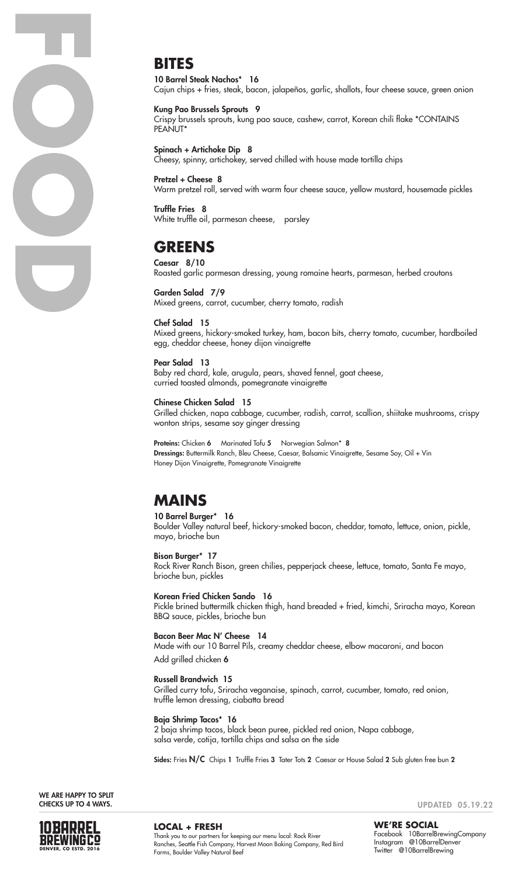

### **BITES**

10 Barrel Steak Nachos\* 16 Cajun chips + fries, steak, bacon, jalapeños, garlic, shallots, four cheese sauce, green onion

#### Kung Pao Brussels Sprouts 9

Crispy brussels sprouts, kung pao sauce, cashew, carrot, Korean chili flake \*CONTAINS PEANUT<sup>\*</sup>

Spinach + Artichoke Dip 8 Cheesy, spinny, artichokey, served chilled with house made tortilla chips

Pretzel + Cheese 8 Warm pretzel roll, served with warm four cheese sauce, yellow mustard, housemade pickles

Truffle Fries 8 White truffle oil, parmesan cheese, parsley

## **GREENS**

Caesar 8/10 Roasted garlic parmesan dressing, young romaine hearts, parmesan, herbed croutons

Garden Salad 7/9 Mixed greens, carrot, cucumber, cherry tomato, radish

#### Chef Salad 15

Mixed greens, hickory-smoked turkey, ham, bacon bits, cherry tomato, cucumber, hardboiled egg, cheddar cheese, honey dijon vinaigrette

#### Pear Salad 13

Baby red chard, kale, arugula, pears, shaved fennel, goat cheese, curried toasted almonds, pomegranate vinaigrette

#### Chinese Chicken Salad 15

Grilled chicken, napa cabbage, cucumber, radish, carrot, scallion, shiitake mushrooms, crispy wonton strips, sesame soy ginger dressing

Proteins: Chicken 6 Marinated Tofu 5 Norwegian Salmon\* 8 Dressings: Buttermilk Ranch, Bleu Cheese, Caesar, Balsamic Vinaigrette, Sesame Soy, Oil + Vin Honey Dijon Vinaigrette, Pomegranate Vinaigrette

# **MAINS**

#### 10 Barrel Burger\* 16

Boulder Valley natural beef, hickory-smoked bacon, cheddar, tomato, lettuce, onion, pickle, mayo, brioche bun

Bison Burger\* 17

Rock River Ranch Bison, green chilies, pepperjack cheese, lettuce, tomato, Santa Fe mayo, brioche bun, pickles

#### Korean Fried Chicken Sando 16

Pickle brined buttermilk chicken thigh, hand breaded + fried, kimchi, Sriracha mayo, Korean BBQ sauce, pickles, brioche bun

#### Bacon Beer Mac N' Cheese 14

Made with our 10 Barrel Pils, creamy cheddar cheese, elbow macaroni, and bacon Add grilled chicken 6

#### Russell Brandwich 15

Grilled curry tofu, Sriracha veganaise, spinach, carrot, cucumber, tomato, red onion, truffle lemon dressing, ciabatta bread

#### Baja Shrimp Tacos\* 16

2 baja shrimp tacos, black bean puree, pickled red onion, Napa cabbage, salsa verde, cotija, tortilla chips and salsa on the side

Sides: Fries N/C Chips 1 Truffle Fries 3 Tater Tots 2 Caesar or House Salad 2 Sub gluten free bun 2

WE ARE HAPPY TO SPLIT CHECKS UP TO 4 WAYS.



**LOCAL + FRESH** Thank you to our partners for keeping our menu local: Rock River Ranches, Seattle Fish Company, Harvest Moon Baking Company, Red Bird Farms, Boulder Valley Natural Beef

UPDATED 05.19.22